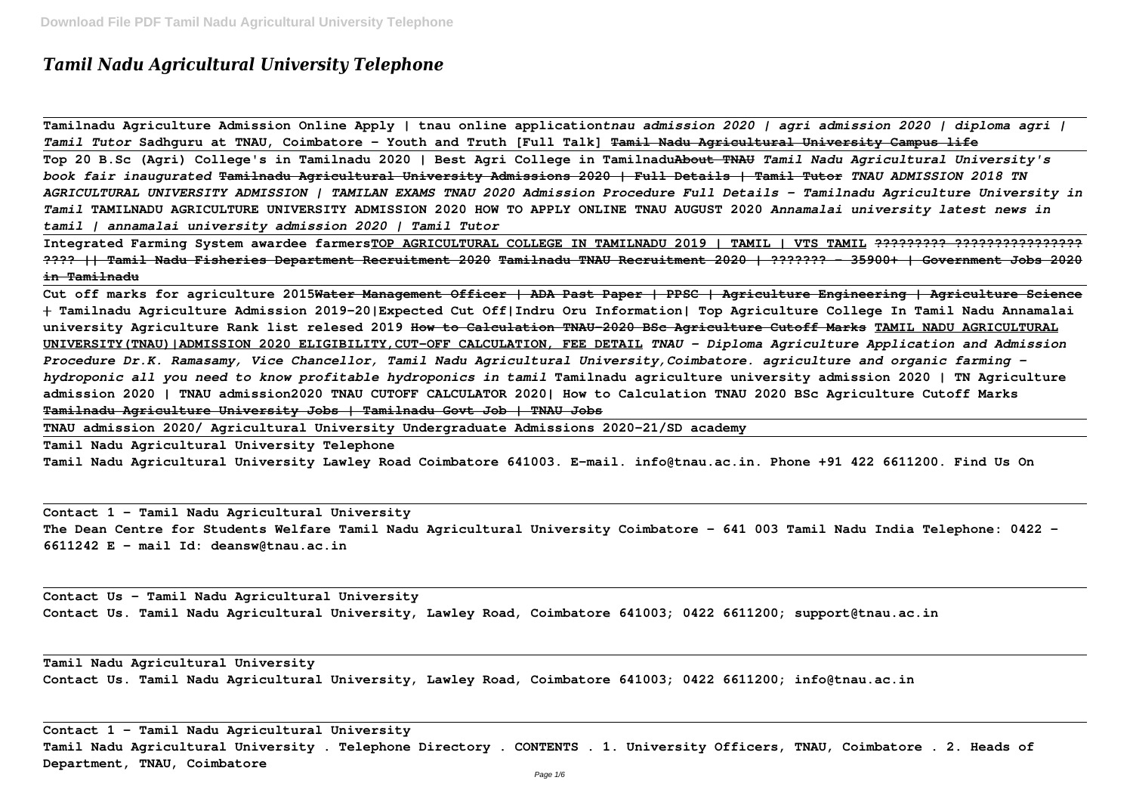# *Tamil Nadu Agricultural University Telephone*

**Tamilnadu Agriculture Admission Online Apply | tnau online application***tnau admission 2020 | agri admission 2020 | diploma agri | Tamil Tutor* **Sadhguru at TNAU, Coimbatore - Youth and Truth [Full Talk] Tamil Nadu Agricultural University Campus life Top 20 B.Sc (Agri) College's in Tamilnadu 2020 | Best Agri College in TamilnaduAbout TNAU** *Tamil Nadu Agricultural University's book fair inaugurated* **Tamilnadu Agricultural University Admissions 2020 | Full Details | Tamil Tutor** *TNAU ADMISSION 2018 TN AGRICULTURAL UNIVERSITY ADMISSION | TAMILAN EXAMS TNAU 2020 Admission Procedure Full Details - Tamilnadu Agriculture University in Tamil* **TAMILNADU AGRICULTURE UNIVERSITY ADMISSION 2020 HOW TO APPLY ONLINE TNAU AUGUST 2020** *Annamalai university latest news in tamil | annamalai university admission 2020 | Tamil Tutor*

**Integrated Farming System awardee farmersTOP AGRICULTURAL COLLEGE IN TAMILNADU 2019 | TAMIL | VTS TAMIL ????????? ???????????????? ???? || Tamil Nadu Fisheries Department Recruitment 2020 Tamilnadu TNAU Recruitment 2020 | ??????? - 35900+ | Government Jobs 2020 in Tamilnadu**

**Cut off marks for agriculture 2015Water Management Officer | ADA Past Paper | PPSC | Agriculture Engineering | Agriculture Science | Tamilnadu Agriculture Admission 2019-20|Expected Cut Off|Indru Oru Information| Top Agriculture College In Tamil Nadu Annamalai university Agriculture Rank list relesed 2019 How to Calculation TNAU-2020 BSc Agriculture Cutoff Marks TAMIL NADU AGRICULTURAL UNIVERSITY(TNAU)|ADMISSION 2020 ELIGIBILITY,CUT-OFF CALCULATION, FEE DETAIL** *TNAU - Diploma Agriculture Application and Admission Procedure Dr.K. Ramasamy, Vice Chancellor, Tamil Nadu Agricultural University,Coimbatore. agriculture and organic farming hydroponic all you need to know profitable hydroponics in tamil* **Tamilnadu agriculture university admission 2020 | TN Agriculture admission 2020 | TNAU admission2020 TNAU CUTOFF CALCULATOR 2020| How to Calculation TNAU 2020 BSc Agriculture Cutoff Marks Tamilnadu Agriculture University Jobs | Tamilnadu Govt Job | TNAU Jobs**

**TNAU admission 2020/ Agricultural University Undergraduate Admissions 2020-21/SD academy**

**Tamil Nadu Agricultural University Telephone**

**Tamil Nadu Agricultural University Lawley Road Coimbatore 641003. E-mail. info@tnau.ac.in. Phone +91 422 6611200. Find Us On**

**Contact 1 – Tamil Nadu Agricultural University The Dean Centre for Students Welfare Tamil Nadu Agricultural University Coimbatore – 641 003 Tamil Nadu India Telephone: 0422 – 6611242 E – mail Id: deansw@tnau.ac.in**

**Contact Us - Tamil Nadu Agricultural University Contact Us. Tamil Nadu Agricultural University, Lawley Road, Coimbatore 641003; 0422 6611200; support@tnau.ac.in**

**Tamil Nadu Agricultural University Contact Us. Tamil Nadu Agricultural University, Lawley Road, Coimbatore 641003; 0422 6611200; info@tnau.ac.in**

**Contact 1 – Tamil Nadu Agricultural University Tamil Nadu Agricultural University . Telephone Directory . CONTENTS . 1. University Officers, TNAU, Coimbatore . 2. Heads of Department, TNAU, Coimbatore**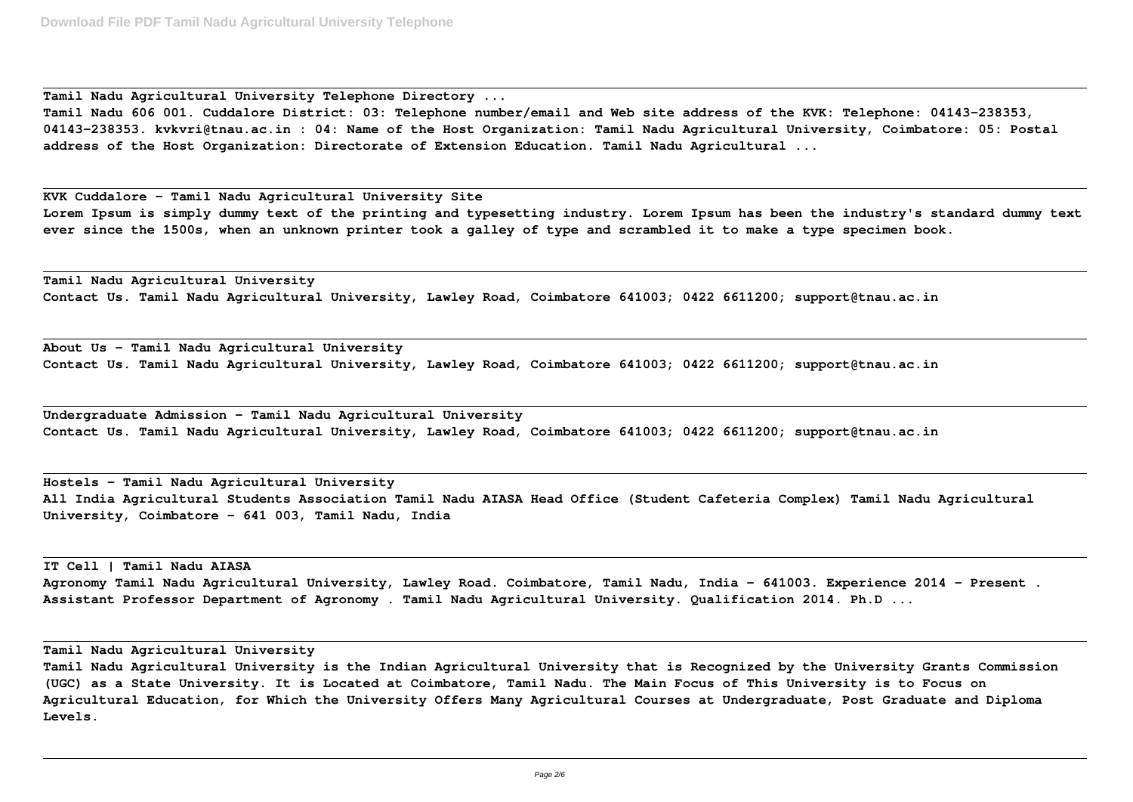**Tamil Nadu Agricultural University Telephone Directory ...**

**Tamil Nadu 606 001. Cuddalore District: 03: Telephone number/email and Web site address of the KVK: Telephone: 04143-238353, 04143-238353. kvkvri@tnau.ac.in : 04: Name of the Host Organization: Tamil Nadu Agricultural University, Coimbatore: 05: Postal address of the Host Organization: Directorate of Extension Education. Tamil Nadu Agricultural ...**

**KVK Cuddalore – Tamil Nadu Agricultural University Site Lorem Ipsum is simply dummy text of the printing and typesetting industry. Lorem Ipsum has been the industry's standard dummy text ever since the 1500s, when an unknown printer took a galley of type and scrambled it to make a type specimen book.**

**Tamil Nadu Agricultural University Contact Us. Tamil Nadu Agricultural University, Lawley Road, Coimbatore 641003; 0422 6611200; support@tnau.ac.in**

**About Us – Tamil Nadu Agricultural University Contact Us. Tamil Nadu Agricultural University, Lawley Road, Coimbatore 641003; 0422 6611200; support@tnau.ac.in**

**Undergraduate Admission – Tamil Nadu Agricultural University Contact Us. Tamil Nadu Agricultural University, Lawley Road, Coimbatore 641003; 0422 6611200; support@tnau.ac.in**

**Hostels – Tamil Nadu Agricultural University All India Agricultural Students Association Tamil Nadu AIASA Head Office (Student Cafeteria Complex) Tamil Nadu Agricultural University, Coimbatore - 641 003, Tamil Nadu, India**

**IT Cell | Tamil Nadu AIASA Agronomy Tamil Nadu Agricultural University, Lawley Road. Coimbatore, Tamil Nadu, India - 641003. Experience 2014 - Present . Assistant Professor Department of Agronomy . Tamil Nadu Agricultural University. Qualification 2014. Ph.D ...**

**Tamil Nadu Agricultural University**

**Tamil Nadu Agricultural University is the Indian Agricultural University that is Recognized by the University Grants Commission (UGC) as a State University. It is Located at Coimbatore, Tamil Nadu. The Main Focus of This University is to Focus on Agricultural Education, for Which the University Offers Many Agricultural Courses at Undergraduate, Post Graduate and Diploma Levels.**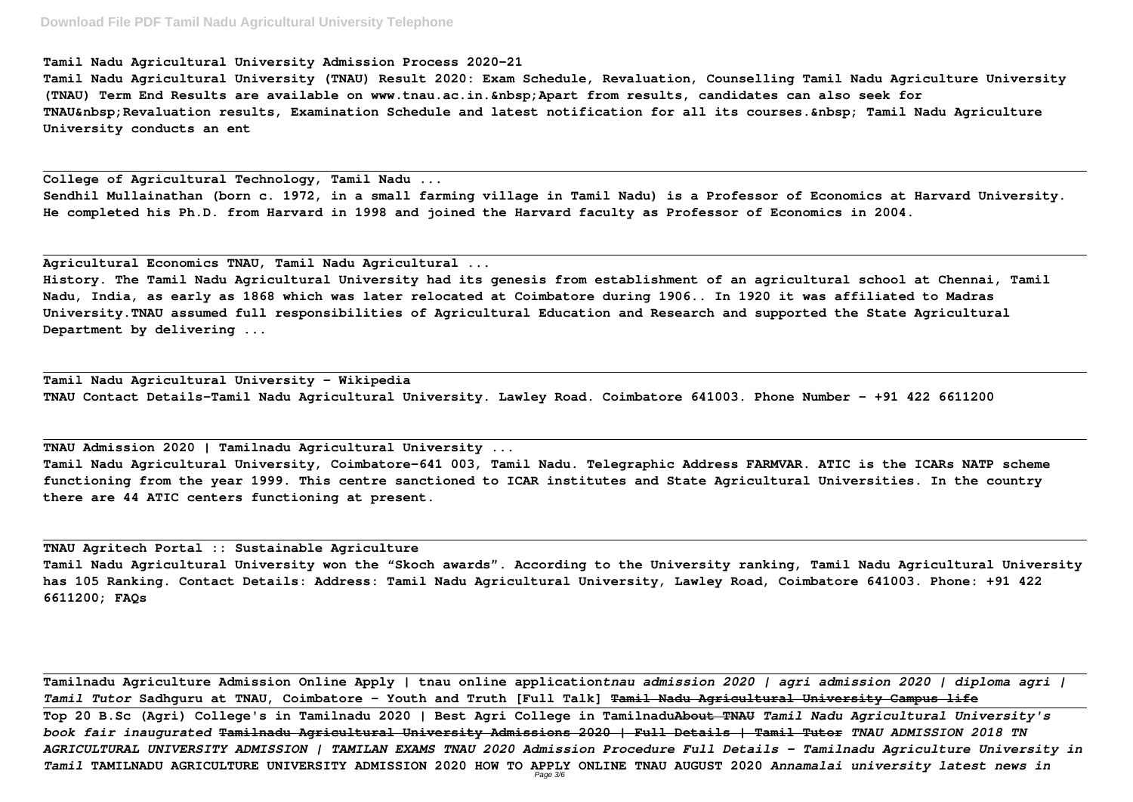## **Download File PDF Tamil Nadu Agricultural University Telephone**

#### **Tamil Nadu Agricultural University Admission Process 2020-21**

**Tamil Nadu Agricultural University (TNAU) Result 2020: Exam Schedule, Revaluation, Counselling Tamil Nadu Agriculture University (TNAU) Term End Results are available on www.tnau.ac.in. Apart from results, candidates can also seek for** TNAU Revaluation results, Examination Schedule and latest notification for all its courses. Tamil Nadu Agriculture **University conducts an ent**

**College of Agricultural Technology, Tamil Nadu ...**

**Sendhil Mullainathan (born c. 1972, in a small farming village in Tamil Nadu) is a Professor of Economics at Harvard University. He completed his Ph.D. from Harvard in 1998 and joined the Harvard faculty as Professor of Economics in 2004.**

**Agricultural Economics TNAU, Tamil Nadu Agricultural ...**

**History. The Tamil Nadu Agricultural University had its genesis from establishment of an agricultural school at Chennai, Tamil Nadu, India, as early as 1868 which was later relocated at Coimbatore during 1906.. In 1920 it was affiliated to Madras University.TNAU assumed full responsibilities of Agricultural Education and Research and supported the State Agricultural Department by delivering ...**

**Tamil Nadu Agricultural University - Wikipedia TNAU Contact Details-Tamil Nadu Agricultural University. Lawley Road. Coimbatore 641003. Phone Number - +91 422 6611200**

**TNAU Admission 2020 | Tamilnadu Agricultural University ... Tamil Nadu Agricultural University, Coimbatore-641 003, Tamil Nadu. Telegraphic Address FARMVAR. ATIC is the ICARs NATP scheme functioning from the year 1999. This centre sanctioned to ICAR institutes and State Agricultural Universities. In the country there are 44 ATIC centers functioning at present.**

**TNAU Agritech Portal :: Sustainable Agriculture Tamil Nadu Agricultural University won the "Skoch awards". According to the University ranking, Tamil Nadu Agricultural University has 105 Ranking. Contact Details: Address: Tamil Nadu Agricultural University, Lawley Road, Coimbatore 641003. Phone: +91 422 6611200; FAQs**

**Tamilnadu Agriculture Admission Online Apply | tnau online application***tnau admission 2020 | agri admission 2020 | diploma agri | Tamil Tutor* **Sadhguru at TNAU, Coimbatore - Youth and Truth [Full Talk] Tamil Nadu Agricultural University Campus life Top 20 B.Sc (Agri) College's in Tamilnadu 2020 | Best Agri College in TamilnaduAbout TNAU** *Tamil Nadu Agricultural University's book fair inaugurated* **Tamilnadu Agricultural University Admissions 2020 | Full Details | Tamil Tutor** *TNAU ADMISSION 2018 TN AGRICULTURAL UNIVERSITY ADMISSION | TAMILAN EXAMS TNAU 2020 Admission Procedure Full Details - Tamilnadu Agriculture University in Tamil* **TAMILNADU AGRICULTURE UNIVERSITY ADMISSION 2020 HOW TO APPLY ONLINE TNAU AUGUST 2020** *Annamalai university latest news in* Page 3/6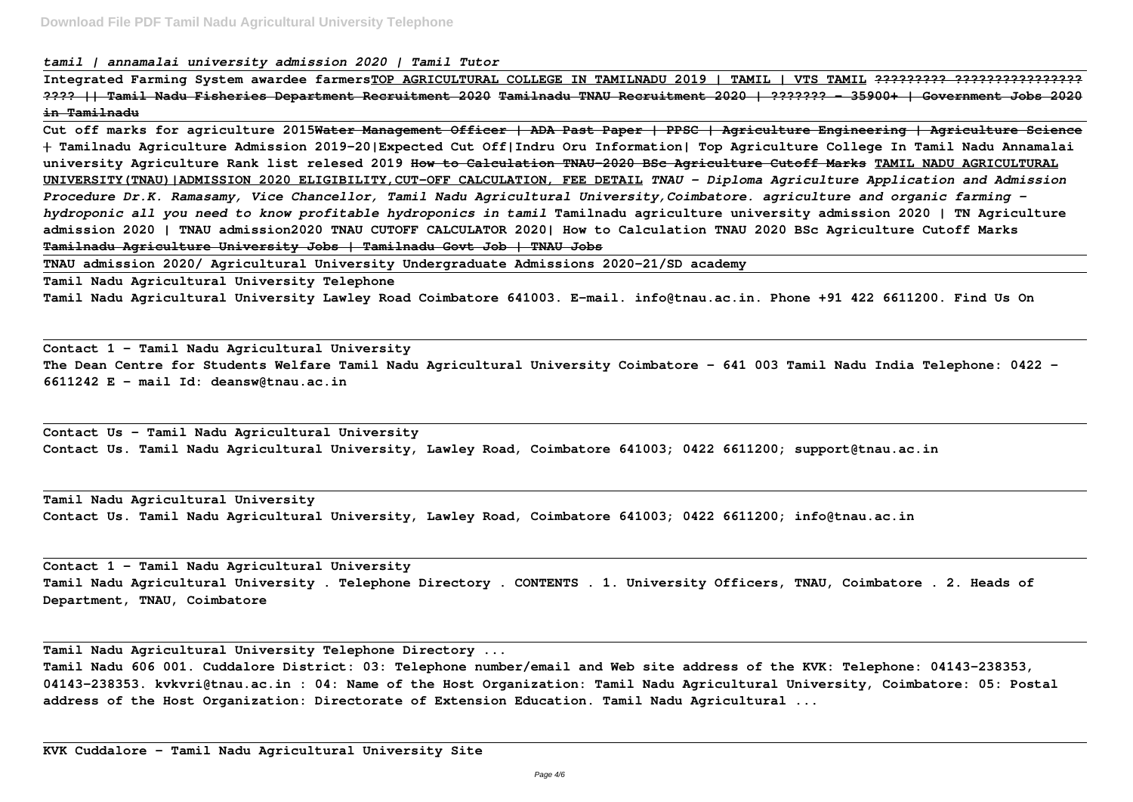*tamil | annamalai university admission 2020 | Tamil Tutor*

**Integrated Farming System awardee farmersTOP AGRICULTURAL COLLEGE IN TAMILNADU 2019 | TAMIL | VTS TAMIL ????????? ???????????????? ???? || Tamil Nadu Fisheries Department Recruitment 2020 Tamilnadu TNAU Recruitment 2020 | ??????? - 35900+ | Government Jobs 2020 in Tamilnadu**

**Cut off marks for agriculture 2015Water Management Officer | ADA Past Paper | PPSC | Agriculture Engineering | Agriculture Science | Tamilnadu Agriculture Admission 2019-20|Expected Cut Off|Indru Oru Information| Top Agriculture College In Tamil Nadu Annamalai university Agriculture Rank list relesed 2019 How to Calculation TNAU-2020 BSc Agriculture Cutoff Marks TAMIL NADU AGRICULTURAL UNIVERSITY(TNAU)|ADMISSION 2020 ELIGIBILITY,CUT-OFF CALCULATION, FEE DETAIL** *TNAU - Diploma Agriculture Application and Admission Procedure Dr.K. Ramasamy, Vice Chancellor, Tamil Nadu Agricultural University,Coimbatore. agriculture and organic farming hydroponic all you need to know profitable hydroponics in tamil* **Tamilnadu agriculture university admission 2020 | TN Agriculture admission 2020 | TNAU admission2020 TNAU CUTOFF CALCULATOR 2020| How to Calculation TNAU 2020 BSc Agriculture Cutoff Marks Tamilnadu Agriculture University Jobs | Tamilnadu Govt Job | TNAU Jobs**

**TNAU admission 2020/ Agricultural University Undergraduate Admissions 2020-21/SD academy**

**Tamil Nadu Agricultural University Telephone**

**Tamil Nadu Agricultural University Lawley Road Coimbatore 641003. E-mail. info@tnau.ac.in. Phone +91 422 6611200. Find Us On**

**Contact 1 – Tamil Nadu Agricultural University The Dean Centre for Students Welfare Tamil Nadu Agricultural University Coimbatore – 641 003 Tamil Nadu India Telephone: 0422 – 6611242 E – mail Id: deansw@tnau.ac.in**

**Contact Us - Tamil Nadu Agricultural University Contact Us. Tamil Nadu Agricultural University, Lawley Road, Coimbatore 641003; 0422 6611200; support@tnau.ac.in**

**Tamil Nadu Agricultural University Contact Us. Tamil Nadu Agricultural University, Lawley Road, Coimbatore 641003; 0422 6611200; info@tnau.ac.in**

**Contact 1 – Tamil Nadu Agricultural University Tamil Nadu Agricultural University . Telephone Directory . CONTENTS . 1. University Officers, TNAU, Coimbatore . 2. Heads of Department, TNAU, Coimbatore**

**Tamil Nadu Agricultural University Telephone Directory ... Tamil Nadu 606 001. Cuddalore District: 03: Telephone number/email and Web site address of the KVK: Telephone: 04143-238353, 04143-238353. kvkvri@tnau.ac.in : 04: Name of the Host Organization: Tamil Nadu Agricultural University, Coimbatore: 05: Postal address of the Host Organization: Directorate of Extension Education. Tamil Nadu Agricultural ...**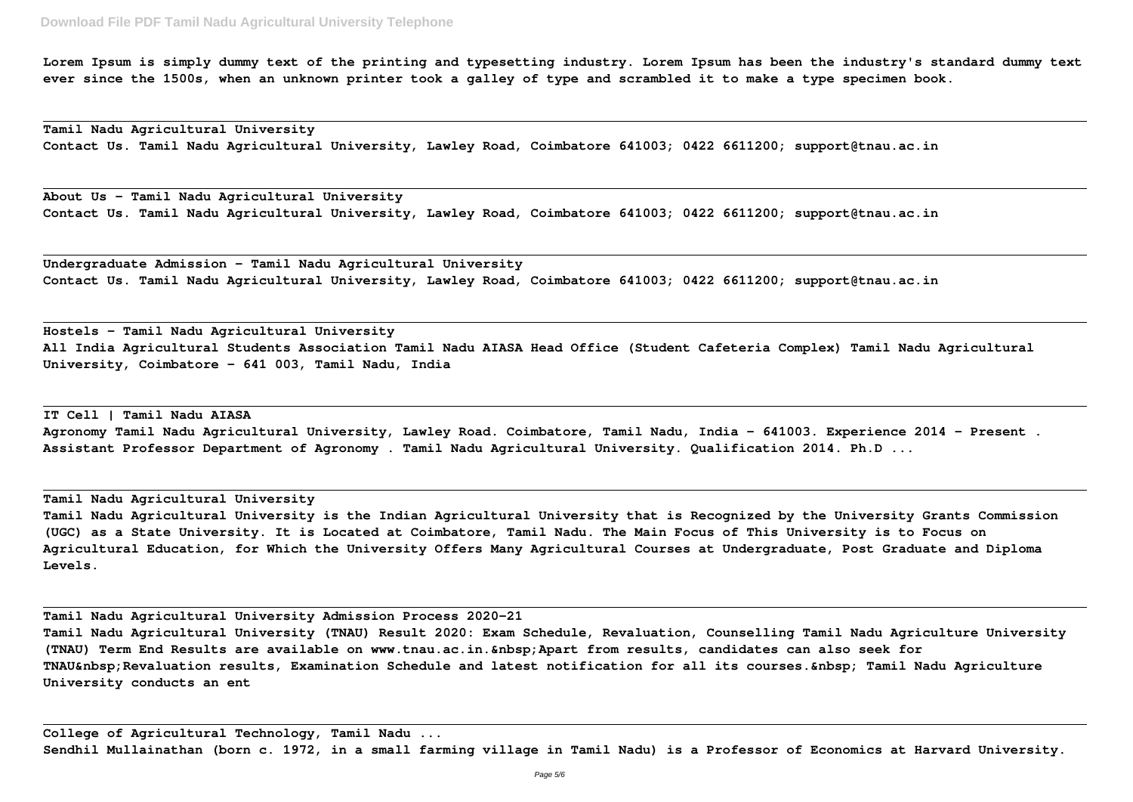**Lorem Ipsum is simply dummy text of the printing and typesetting industry. Lorem Ipsum has been the industry's standard dummy text ever since the 1500s, when an unknown printer took a galley of type and scrambled it to make a type specimen book.**

**Tamil Nadu Agricultural University Contact Us. Tamil Nadu Agricultural University, Lawley Road, Coimbatore 641003; 0422 6611200; support@tnau.ac.in**

**About Us – Tamil Nadu Agricultural University Contact Us. Tamil Nadu Agricultural University, Lawley Road, Coimbatore 641003; 0422 6611200; support@tnau.ac.in**

**Undergraduate Admission – Tamil Nadu Agricultural University Contact Us. Tamil Nadu Agricultural University, Lawley Road, Coimbatore 641003; 0422 6611200; support@tnau.ac.in**

**Hostels – Tamil Nadu Agricultural University All India Agricultural Students Association Tamil Nadu AIASA Head Office (Student Cafeteria Complex) Tamil Nadu Agricultural University, Coimbatore - 641 003, Tamil Nadu, India**

**IT Cell | Tamil Nadu AIASA Agronomy Tamil Nadu Agricultural University, Lawley Road. Coimbatore, Tamil Nadu, India - 641003. Experience 2014 - Present . Assistant Professor Department of Agronomy . Tamil Nadu Agricultural University. Qualification 2014. Ph.D ...**

### **Tamil Nadu Agricultural University**

**Tamil Nadu Agricultural University is the Indian Agricultural University that is Recognized by the University Grants Commission (UGC) as a State University. It is Located at Coimbatore, Tamil Nadu. The Main Focus of This University is to Focus on Agricultural Education, for Which the University Offers Many Agricultural Courses at Undergraduate, Post Graduate and Diploma Levels.**

**Tamil Nadu Agricultural University Admission Process 2020-21 Tamil Nadu Agricultural University (TNAU) Result 2020: Exam Schedule, Revaluation, Counselling Tamil Nadu Agriculture University (TNAU) Term End Results are available on www.tnau.ac.in. Apart from results, candidates can also seek for TNAU Revaluation results, Examination Schedule and latest notification for all its courses. Tamil Nadu Agriculture University conducts an ent**

**College of Agricultural Technology, Tamil Nadu ... Sendhil Mullainathan (born c. 1972, in a small farming village in Tamil Nadu) is a Professor of Economics at Harvard University.**